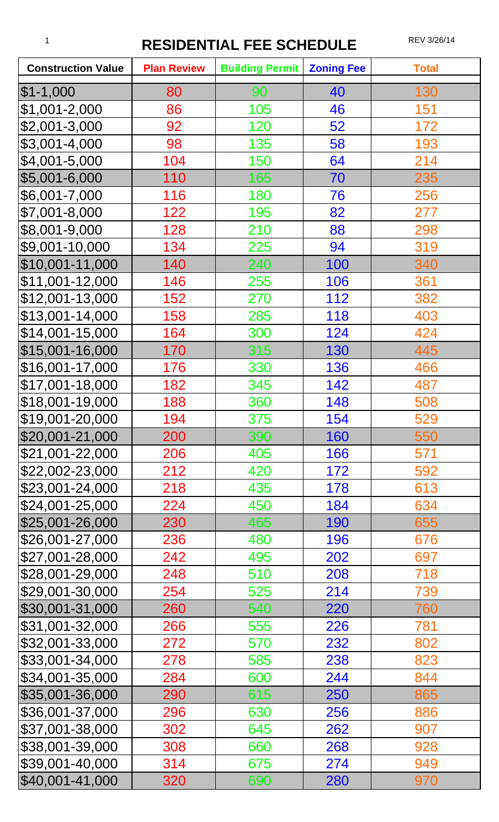## 1 **RESIDENTIAL FEE SCHEDULE** REV 3/26/14

| <b>Construction Value</b> | <b>Plan Review</b> | <b>Building Permit</b> | <b>Zoning Fee</b> | <b>Total</b> |
|---------------------------|--------------------|------------------------|-------------------|--------------|
| $$1-1,000$                | 80                 | 90                     | 40                | 130          |
| $$1,001-2,000$            | 86                 | 105                    | 46                | 151          |
| $$2,001-3,000$            | 92                 | 120                    | 52                | 172          |
| $$3,001-4,000$            | 98                 | 135                    | 58                | 193          |
| $$4,001-5,000$            | 104                | 150                    | 64                | 214          |
| \$5,001-6,000             | 110                | 165                    | 70                | 235          |
| $$6,001 - 7,000$          | 116                | 180                    | 76                | 256          |
| $$7,001 - 8,000$          | 122                | 195                    | 82                | 277          |
| \$8,001-9,000             | 128                | 210                    | 88                | 298          |
| \$9,001-10,000            | 134                | 225                    | 94                | 319          |
| \$10,001-11,000           | 140                | 240                    | 100               | 340          |
| $$11,001-12,000$          | 146                | 255                    | 106               | 361          |
| \$12,001-13,000           | 152                | 270                    | 112               | 382          |
| \$13,001-14,000           | 158                | 285                    | 118               | 403          |
| $$14,001-15,000$          | 164                | 300                    | 124               | 424          |
| \$15,001-16,000           | 170                | 315                    | 130               | 445          |
| \$16,001-17,000           | 176                | 330                    | 136               | 466          |
| $$17,001-18,000$          | 182                | 345                    | 142               | 487          |
| \$18,001-19,000           | 188                | 360                    | 148               | 508          |
| $$19,001 - 20,000$        | 194                | 375                    | 154               | 529          |
| \$20,001-21,000           | 200                | 390                    | 160               | 550          |
| \$21,001-22,000           | 206                | 405                    | 166               | 571          |
| \$22,002-23,000           | 212                | 420                    | 172               | 592          |
| \$23,001-24,000           | 218                | 435                    | 178               | 613          |
| \$24,001-25,000           | 224                | 450                    | 184               | 634          |
| $$25,001-26,000$          | 230                | 465                    | 190               | 655          |
| \$26,001-27,000           | 236                | 480                    | 196               | 676          |
| \$27,001-28,000           | 242                | 495                    | 202               | 697          |
| \$28,001-29,000           | 248                | 510                    | 208               | 718          |
| \$29,001-30,000           | 254                | 525                    | 214               | 739          |
| \$30,001-31,000           | 260                | 540                    | 220               | 760          |
| \$31,001-32,000           | 266                | 555                    | 226               | 781          |
| \$32,001-33,000           | 272                | 570                    | 232               | 802          |
| \$33,001-34,000           | 278                | 585                    | 238               | 823          |
| \$34,001-35,000           | 284                | 600                    | 244               | 844          |
| \$35,001-36,000           | 290                | 615                    | 250               | 865          |
| \$36,001-37,000           | 296                | 630                    | 256               | 886          |
| \$37,001-38,000           | 302                | 645                    | 262               | 907          |
| \$38,001-39,000           | 308                | 660                    | 268               | 928          |
| \$39,001-40,000           | 314                | 675                    | 274               | 949          |
| \$40,001-41,000           | 320                | 690                    | 280               | 970          |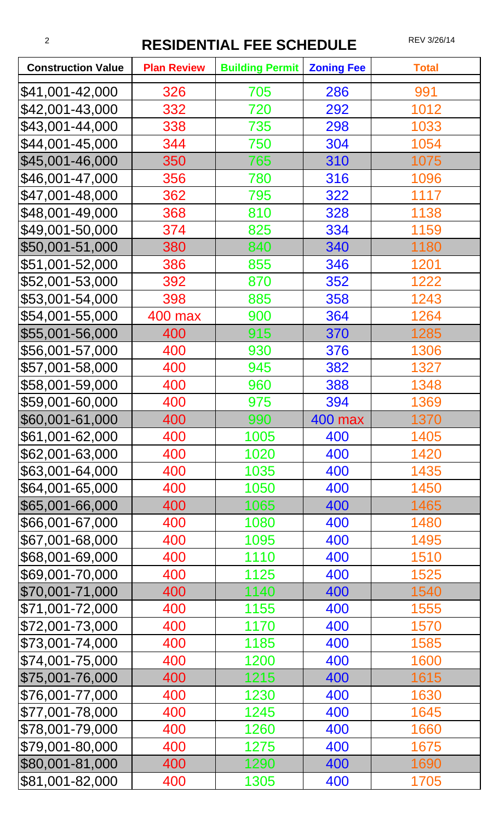## <sup>2</sup> **RESIDENTIAL FEE SCHEDULE** REV 3/26/14

| <b>Construction Value</b> | <b>Plan Review</b> | <b>Building Permit</b> | <b>Zoning Fee</b> | <b>Total</b> |
|---------------------------|--------------------|------------------------|-------------------|--------------|
| \$41,001-42,000           | 326                | 705                    | 286               | 991          |
| \$42,001-43,000           | 332                | 720                    | 292               | 1012         |
| \$43,001-44,000           | 338                | 735                    | 298               | 1033         |
| \$44,001-45,000           | 344                | 750                    | 304               | 1054         |
| \$45,001-46,000           | 350                | 765                    | 310               | 1075         |
| \$46,001-47,000           | 356                | 780                    | 316               | 1096         |
| \$47,001-48,000           | 362                | 795                    | 322               | 1117         |
| \$48,001-49,000           | 368                | 810                    | 328               | 1138         |
| \$49,001-50,000           | 374                | 825                    | 334               | 1159         |
| \$50,001-51,000           | 380                | 840                    | 340               | 1180         |
| \$51,001-52,000           | 386                | 855                    | 346               | 1201         |
| \$52,001-53,000           | 392                | 870                    | 352               | 1222         |
| \$53,001-54,000           | 398                | 885                    | 358               | 1243         |
| \$54,001-55,000           | <b>400 max</b>     | 900                    | 364               | 1264         |
| \$55,001-56,000           | 400                | 915                    | 370               | 1285         |
| \$56,001-57,000           | 400                | 930                    | 376               | 1306         |
| \$57,001-58,000           | 400                | 945                    | 382               | 1327         |
| \$58,001-59,000           | 400                | 960                    | 388               | 1348         |
| \$59,001-60,000           | 400                | 975                    | 394               | 1369         |
| \$60,001-61,000           | 400                | 990                    | 400 max           | 1370         |
| \$61,001-62,000           | 400                | 1005                   | 400               | 1405         |
| \$62,001-63,000           | 400                | 1020                   | 400               | 1420         |
| \$63,001-64,000           | 400                | 1035                   | 400               | 1435         |
| \$64,001-65,000           | 400                | 1050                   | 400               | 1450         |
| \$65,001-66,000           | 400                | 1065                   | 400               | 1465         |
| \$66,001-67,000           | 400                | 1080                   | 400               | 1480         |
| \$67,001-68,000           | 400                | 1095                   | 400               | 1495         |
| \$68,001-69,000           | 400                | 1110                   | 400               | 1510         |
| \$69,001-70,000           | 400                | 1125                   | 400               | 1525         |
| \$70,001-71,000           | 400                | 1140                   | 400               | 1540         |
| \$71,001-72,000           | 400                | 1155                   | 400               | 1555         |
| \$72,001-73,000           | 400                | 1170                   | 400               | 1570         |
| \$73,001-74,000           | 400                | 1185                   | 400               | 1585         |
| \$74,001-75,000           | 400                | 1200                   | 400               | 1600         |
| \$75,001-76,000           | 400                | 1215                   | 400               | 1615         |
| \$76,001-77,000           | 400                | 1230                   | 400               | 1630         |
| \$77,001-78,000           | 400                | 1245                   | 400               | 1645         |
| \$78,001-79,000           | 400                | 1260                   | 400               | 1660         |
| \$79,001-80,000           | 400                | 1275                   | 400               | 1675         |
| \$80,001-81,000           | 400                | 1290                   | 400               | 1690         |
| \$81,001-82,000           | 400                | 1305                   | 400               | 1705         |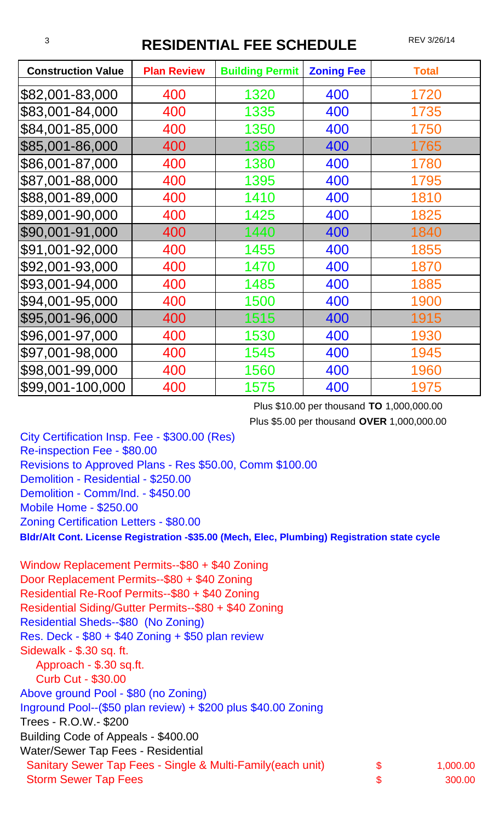## **RESIDENTIAL FEE SCHEDULE** REV 3/26/14

| <b>Construction Value</b> | <b>Plan Review</b> | <b>Building Permit</b> | <b>Zoning Fee</b> | <b>Total</b> |
|---------------------------|--------------------|------------------------|-------------------|--------------|
| \$82,001-83,000           | 400                | 1320                   | 400               | 1720         |
| \$83,001-84,000           | 400                | 1335                   | 400               | 1735         |
| \$84,001-85,000           | 400                | 1350                   | 400               | 1750         |
| \$85,001-86,000           | 400                | 1365                   | 400               | 1765         |
| \$86,001-87,000           | 400                | 1380                   | 400               | 1780         |
| \$87,001-88,000           | 400                | 1395                   | 400               | 1795         |
| \$88,001-89,000           | 400                | 1410                   | 400               | 1810         |
| \$89,001-90,000           | 400                | 1425                   | 400               | 1825         |
| \$90,001-91,000           | 400                | 1440                   | 400               | 1840         |
| \$91,001-92,000           | 400                | 1455                   | 400               | 1855         |
| \$92,001-93,000           | 400                | 1470                   | 400               | 1870         |
| \$93,001-94,000           | 400                | 1485                   | 400               | 1885         |
| \$94,001-95,000           | 400                | 1500                   | 400               | 1900         |
| \$95,001-96,000           | 400                | 1515                   | 400               | 1915         |
| \$96,001-97,000           | 400                | 1530                   | 400               | 1930         |
| \$97,001-98,000           | 400                | 1545                   | 400               | 1945         |
| \$98,001-99,000           | 400                | 1560                   | 400               | 1960         |
| \$99,001-100,000          | 400                | 1575                   | 400               | 1975         |

Plus \$10.00 per thousand **TO** 1,000,000.00 Plus \$5.00 per thousand **OVER** 1,000,000.00

City Certification Insp. Fee - \$300.00 (Res) Re-inspection Fee - \$80.00 Revisions to Approved Plans - Res \$50.00, Comm \$100.00 Demolition - Residential - \$250.00 Demolition - Comm/Ind. - \$450.00 Mobile Home - \$250.00 Zoning Certification Letters - \$80.00

**Bldr/Alt Cont. License Registration -\$35.00 (Mech, Elec, Plumbing) Registration state cycle**

Window Replacement Permits--\$80 + \$40 Zoning Door Replacement Permits--\$80 + \$40 Zoning Residential Re-Roof Permits--\$80 + \$40 Zoning Residential Siding/Gutter Permits--\$80 + \$40 Zoning Residential Sheds--\$80 (No Zoning) Res. Deck - \$80 + \$40 Zoning + \$50 plan review Sidewalk - \$.30 sq. ft. Approach - \$.30 sq.ft. Curb Cut - \$30.00 Above ground Pool - \$80 (no Zoning) Inground Pool--(\$50 plan review) + \$200 plus \$40.00 Zoning Trees - R.O.W.- \$200 Building Code of Appeals - \$400.00 Water/Sewer Tap Fees - Residential Sanitary Sewer Tap Fees - Single & Multi-Family(each unit) \$ 1,000.00 Storm Sewer Tap Fees **300.00**